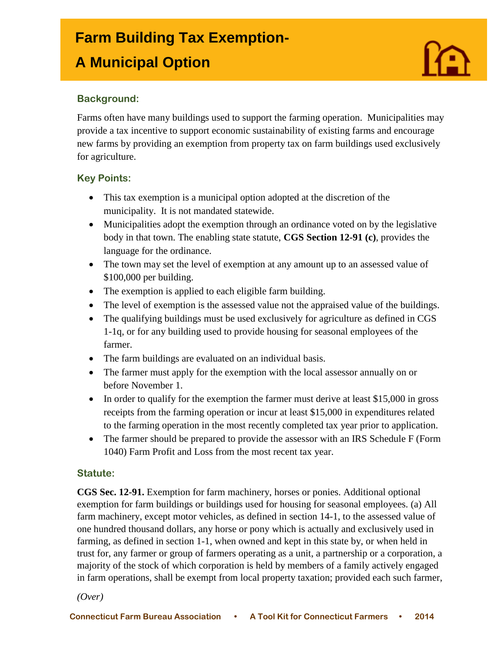# **Farm Building Tax Exemption-**

# **A Municipal Option**

# **Background:**

I

Farms often have many buildings used to support the farming operation. Municipalities may provide a tax incentive to support economic sustainability of existing farms and encourage new farms by providing an exemption from property tax on farm buildings used exclusively for agriculture.

# **Key Points:**

- This tax exemption is a municipal option adopted at the discretion of the municipality. It is not mandated statewide.
- Municipalities adopt the exemption through an ordinance voted on by the legislative body in that town. The enabling state statute, **CGS Section 12-91 (c)**, provides the language for the ordinance.
- The town may set the level of exemption at any amount up to an assessed value of \$100,000 per building.
- The exemption is applied to each eligible farm building.
- The level of exemption is the assessed value not the appraised value of the buildings.
- The qualifying buildings must be used exclusively for agriculture as defined in CGS 1-1q, or for any building used to provide housing for seasonal employees of the farmer.
- The farm buildings are evaluated on an individual basis.
- The farmer must apply for the exemption with the local assessor annually on or before November 1.
- $\bullet$  In order to qualify for the exemption the farmer must derive at least \$15,000 in gross receipts from the farming operation or incur at least \$15,000 in expenditures related to the farming operation in the most recently completed tax year prior to application.
- The farmer should be prepared to provide the assessor with an IRS Schedule F (Form 1040) Farm Profit and Loss from the most recent tax year.

#### **Statute:**

**CGS Sec. 12-91.** Exemption for farm machinery, horses or ponies. Additional optional exemption for farm buildings or buildings used for housing for seasonal employees. (a) All farm machinery, except motor vehicles, as defined in section 14-1, to the assessed value of one hundred thousand dollars, any horse or pony which is actually and exclusively used in farming, as defined in section 1-1, when owned and kept in this state by, or when held in trust for, any farmer or group of farmers operating as a unit, a partnership or a corporation, a majority of the stock of which corporation is held by members of a family actively engaged in farm operations, shall be exempt from local property taxation; provided each such farmer,

*(Over)*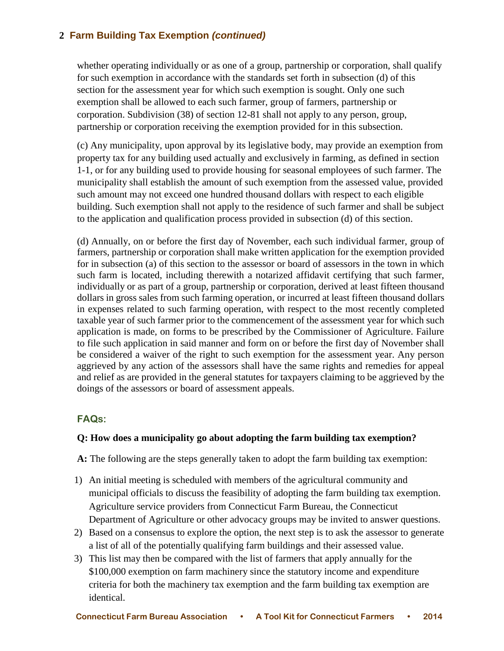# **2 Farm Building Tax Exemption** *(continued)*

whether operating individually or as one of a group, partnership or corporation, shall qualify for such exemption in accordance with the standards set forth in subsection (d) of this section for the assessment year for which such exemption is sought. Only one such exemption shall be allowed to each such farmer, group of farmers, partnership or corporation. Subdivision (38) of section 12-81 shall not apply to any person, group, partnership or corporation receiving the exemption provided for in this subsection.

(c) Any municipality, upon approval by its legislative body, may provide an exemption from property tax for any building used actually and exclusively in farming, as defined in section 1-1, or for any building used to provide housing for seasonal employees of such farmer. The municipality shall establish the amount of such exemption from the assessed value, provided such amount may not exceed one hundred thousand dollars with respect to each eligible building. Such exemption shall not apply to the residence of such farmer and shall be subject to the application and qualification process provided in subsection (d) of this section.

(d) Annually, on or before the first day of November, each such individual farmer, group of farmers, partnership or corporation shall make written application for the exemption provided for in subsection (a) of this section to the assessor or board of assessors in the town in which such farm is located, including therewith a notarized affidavit certifying that such farmer, individually or as part of a group, partnership or corporation, derived at least fifteen thousand dollars in gross sales from such farming operation, or incurred at least fifteen thousand dollars in expenses related to such farming operation, with respect to the most recently completed taxable year of such farmer prior to the commencement of the assessment year for which such application is made, on forms to be prescribed by the Commissioner of Agriculture. Failure to file such application in said manner and form on or before the first day of November shall be considered a waiver of the right to such exemption for the assessment year. Any person aggrieved by any action of the assessors shall have the same rights and remedies for appeal and relief as are provided in the general statutes for taxpayers claiming to be aggrieved by the doings of the assessors or board of assessment appeals.

#### **FAQs:**

#### **Q: How does a municipality go about adopting the farm building tax exemption?**

**A:** The following are the steps generally taken to adopt the farm building tax exemption:

- 1) An initial meeting is scheduled with members of the agricultural community and municipal officials to discuss the feasibility of adopting the farm building tax exemption. Agriculture service providers from Connecticut Farm Bureau, the Connecticut Department of Agriculture or other advocacy groups may be invited to answer questions.
- 2) Based on a consensus to explore the option, the next step is to ask the assessor to generate a list of all of the potentially qualifying farm buildings and their assessed value.
- 3) This list may then be compared with the list of farmers that apply annually for the \$100,000 exemption on farm machinery since the statutory income and expenditure criteria for both the machinery tax exemption and the farm building tax exemption are identical.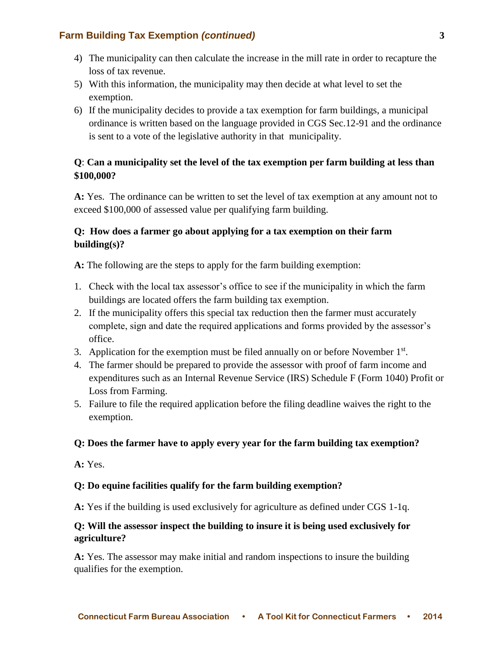#### **Farm Building Tax Exemption** *(continued)* **3**

- 4) The municipality can then calculate the increase in the mill rate in order to recapture the loss of tax revenue.
- 5) With this information, the municipality may then decide at what level to set the exemption.
- 6) If the municipality decides to provide a tax exemption for farm buildings, a municipal ordinance is written based on the language provided in CGS Sec.12-91 and the ordinance is sent to a vote of the legislative authority in that municipality.

# **Q**: **Can a municipality set the level of the tax exemption per farm building at less than \$100,000?**

**A:** Yes. The ordinance can be written to set the level of tax exemption at any amount not to exceed \$100,000 of assessed value per qualifying farm building.

# **Q: How does a farmer go about applying for a tax exemption on their farm building(s)?**

**A:** The following are the steps to apply for the farm building exemption:

- 1. Check with the local tax assessor's office to see if the municipality in which the farm buildings are located offers the farm building tax exemption.
- 2. If the municipality offers this special tax reduction then the farmer must accurately complete, sign and date the required applications and forms provided by the assessor's office.
- 3. Application for the exemption must be filed annually on or before November  $1<sup>st</sup>$ .
- 4. The farmer should be prepared to provide the assessor with proof of farm income and expenditures such as an Internal Revenue Service (IRS) Schedule F (Form 1040) Profit or Loss from Farming.
- 5. Failure to file the required application before the filing deadline waives the right to the exemption.

#### **Q: Does the farmer have to apply every year for the farm building tax exemption?**

**A:** Yes.

#### **Q: Do equine facilities qualify for the farm building exemption?**

**A:** Yes if the building is used exclusively for agriculture as defined under CGS 1-1q.

#### **Q: Will the assessor inspect the building to insure it is being used exclusively for agriculture?**

**A:** Yes. The assessor may make initial and random inspections to insure the building qualifies for the exemption.